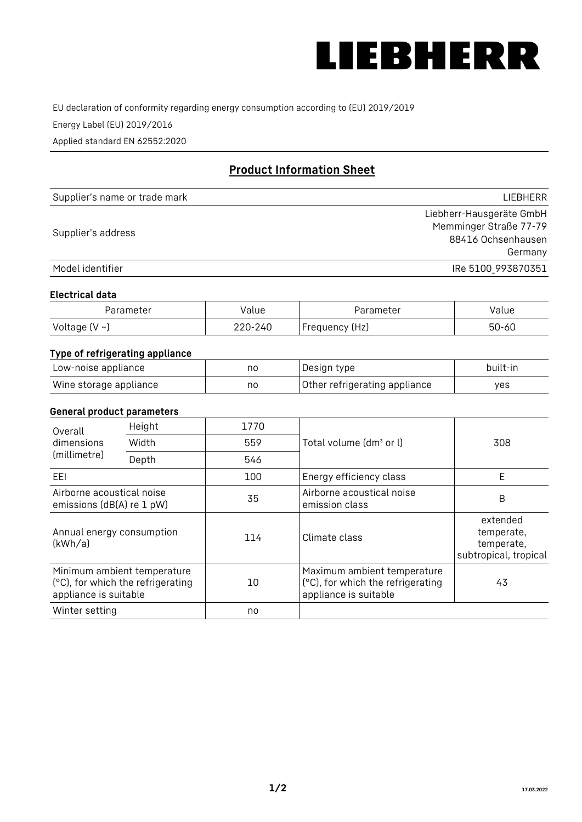

EU declaration of conformity regarding energy consumption according to (EU) 2019/2019

Energy Label (EU) 2019/2016

Applied standard EN 62552:2020

# **Product Information Sheet**

| Supplier's name or trade mark | <b>LIFBHFRR</b>          |
|-------------------------------|--------------------------|
|                               | Liebherr-Hausgeräte GmbH |
| Supplier's address            | Memminger Straße 77-79   |
|                               | 88416 Ochsenhausen       |
|                               | Germany                  |
| Model identifier              | IRe 5100 993870351       |

#### **Electrical data**

| Parameter           | Value   | Parameter      | alue/     |
|---------------------|---------|----------------|-----------|
| Voltage (V $\sim$ ) | 220-240 | Frequency (Hz) | $50 - 60$ |

# **Type of refrigerating appliance**

| Low-noise appliance    | no | Design type                   | built-in |
|------------------------|----|-------------------------------|----------|
| Wine storage appliance | no | Other refrigerating appliance | yes      |

### **General product parameters**

| Height<br>Overall                                      |                                                                  | 1770 |                                                                                           |                                                               |
|--------------------------------------------------------|------------------------------------------------------------------|------|-------------------------------------------------------------------------------------------|---------------------------------------------------------------|
| dimensions<br>(millimetre)                             | Width                                                            | 559  | Total volume (dm <sup>3</sup> or l)                                                       | 308                                                           |
|                                                        | Depth                                                            | 546  |                                                                                           |                                                               |
| EEL                                                    |                                                                  | 100  | Energy efficiency class                                                                   | E                                                             |
| Airborne acoustical noise<br>emissions (dB(A) re 1 pW) |                                                                  | 35   | Airborne acoustical noise<br>emission class                                               | B                                                             |
| Annual energy consumption<br>(kWh/a)                   |                                                                  | 114  | Climate class                                                                             | extended<br>temperate,<br>temperate,<br>subtropical, tropical |
| appliance is suitable                                  | Minimum ambient temperature<br>(°C), for which the refrigerating | 10   | Maximum ambient temperature<br>(°C), for which the refrigerating<br>appliance is suitable | 43                                                            |
| Winter setting                                         |                                                                  | no   |                                                                                           |                                                               |